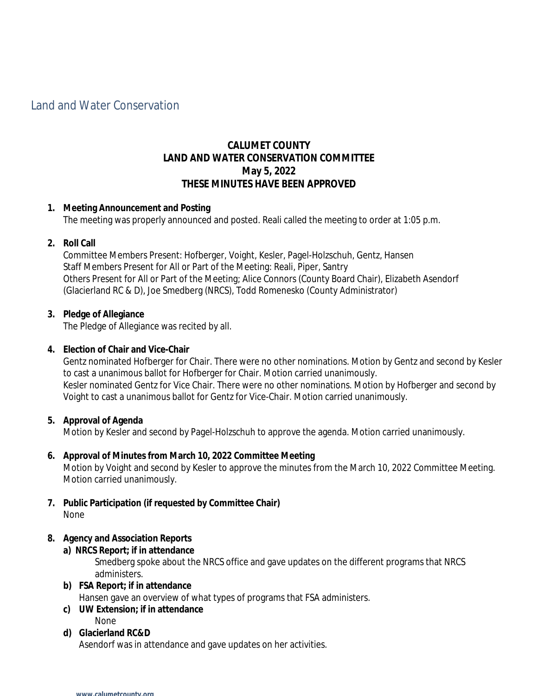# Land and Water Conservation

# **CALUMET COUNTY LAND AND WATER CONSERVATION COMMITTEE May 5, 2022 THESE MINUTES HAVE BEEN APPROVED**

#### **1. Meeting Announcement and Posting**

The meeting was properly announced and posted. Reali called the meeting to order at 1:05 p.m.

#### **2. Roll Call**

Committee Members Present: Hofberger, Voight, Kesler, Pagel-Holzschuh, Gentz, Hansen Staff Members Present for All or Part of the Meeting: Reali, Piper, Santry Others Present for All or Part of the Meeting; Alice Connors (County Board Chair), Elizabeth Asendorf (Glacierland RC & D), Joe Smedberg (NRCS), Todd Romenesko (County Administrator)

#### **3. Pledge of Allegiance**

The Pledge of Allegiance was recited by all.

#### **4. Election of Chair and Vice-Chair**

Gentz nominated Hofberger for Chair. There were no other nominations. Motion by Gentz and second by Kesler to cast a unanimous ballot for Hofberger for Chair. Motion carried unanimously. Kesler nominated Gentz for Vice Chair. There were no other nominations. Motion by Hofberger and second by Voight to cast a unanimous ballot for Gentz for Vice-Chair. Motion carried unanimously.

#### **5. Approval of Agenda**

Motion by Kesler and second by Pagel-Holzschuh to approve the agenda. Motion carried unanimously.

#### **6. Approval of Minutes from March 10, 2022 Committee Meeting**

Motion by Voight and second by Kesler to approve the minutes from the March 10, 2022 Committee Meeting. Motion carried unanimously.

**7. Public Participation (if requested by Committee Chair)** None

#### **8. Agency and Association Reports**

**a) NRCS Report; if in attendance**

Smedberg spoke about the NRCS office and gave updates on the different programs that NRCS administers.

- **b) FSA Report; if in attendance** Hansen gave an overview of what types of programs that FSA administers.
- **c) UW Extension; if in attendance** None

### **d) Glacierland RC&D**

Asendorf was in attendance and gave updates on her activities.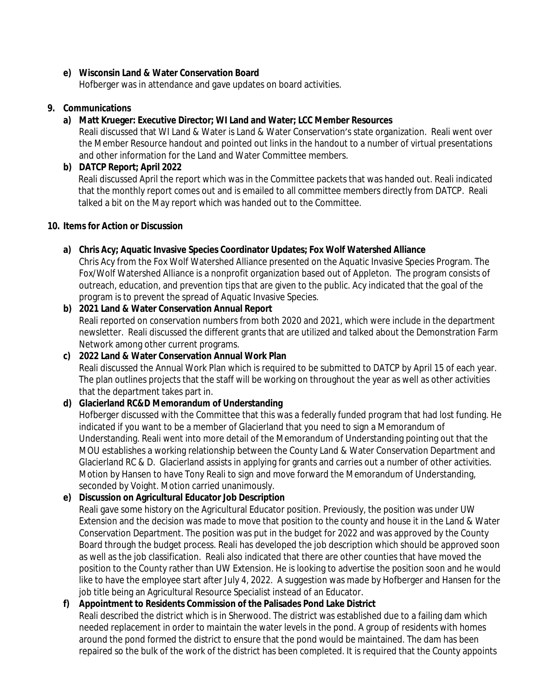### **e) Wisconsin Land & Water Conservation Board**

Hofberger was in attendance and gave updates on board activities.

### **9. Communications**

### **a) Matt Krueger: Executive Director; WI Land and Water; LCC Member Resources**

Reali discussed that WI Land & Water is Land & Water Conservation's state organization. Reali went over the Member Resource handout and pointed out links in the handout to a number of virtual presentations and other information for the Land and Water Committee members.

### **b) DATCP Report; April 2022**

Reali discussed April the report which was in the Committee packets that was handed out. Reali indicated that the monthly report comes out and is emailed to all committee members directly from DATCP. Reali talked a bit on the May report which was handed out to the Committee.

#### **10. Items for Action or Discussion**

# **a) Chris Acy; Aquatic Invasive Species Coordinator Updates; Fox Wolf Watershed Alliance**

Chris Acy from the Fox Wolf Watershed Alliance presented on the Aquatic Invasive Species Program. The Fox/Wolf Watershed Alliance is a nonprofit organization based out of Appleton. The program consists of outreach, education, and prevention tips that are given to the public. Acy indicated that the goal of the program is to prevent the spread of Aquatic Invasive Species.

**b) 2021 Land & Water Conservation Annual Report**  Reali reported on conservation numbers from both 2020 and 2021, which were include in the department newsletter. Reali discussed the different grants that are utilized and talked about the Demonstration Farm Network among other current programs.

# **c) 2022 Land & Water Conservation Annual Work Plan** Reali discussed the Annual Work Plan which is required to be submitted to DATCP by April 15 of each year. The plan outlines projects that the staff will be working on throughout the year as well as other activities that the department takes part in.

# **d) Glacierland RC&D Memorandum of Understanding**

Hofberger discussed with the Committee that this was a federally funded program that had lost funding. He indicated if you want to be a member of Glacierland that you need to sign a Memorandum of Understanding. Reali went into more detail of the Memorandum of Understanding pointing out that the MOU establishes a working relationship between the County Land & Water Conservation Department and Glacierland RC & D. Glacierland assists in applying for grants and carries out a number of other activities. Motion by Hansen to have Tony Reali to sign and move forward the Memorandum of Understanding, seconded by Voight. Motion carried unanimously.

# **e) Discussion on Agricultural Educator Job Description**

Reali gave some history on the Agricultural Educator position. Previously, the position was under UW Extension and the decision was made to move that position to the county and house it in the Land & Water Conservation Department. The position was put in the budget for 2022 and was approved by the County Board through the budget process. Reali has developed the job description which should be approved soon as well as the job classification. Reali also indicated that there are other counties that have moved the position to the County rather than UW Extension. He is looking to advertise the position soon and he would like to have the employee start after July 4, 2022. A suggestion was made by Hofberger and Hansen for the job title being an Agricultural Resource Specialist instead of an Educator.

# **f) Appointment to Residents Commission of the Palisades Pond Lake District**

Reali described the district which is in Sherwood. The district was established due to a failing dam which needed replacement in order to maintain the water levels in the pond. A group of residents with homes around the pond formed the district to ensure that the pond would be maintained. The dam has been repaired so the bulk of the work of the district has been completed. It is required that the County appoints